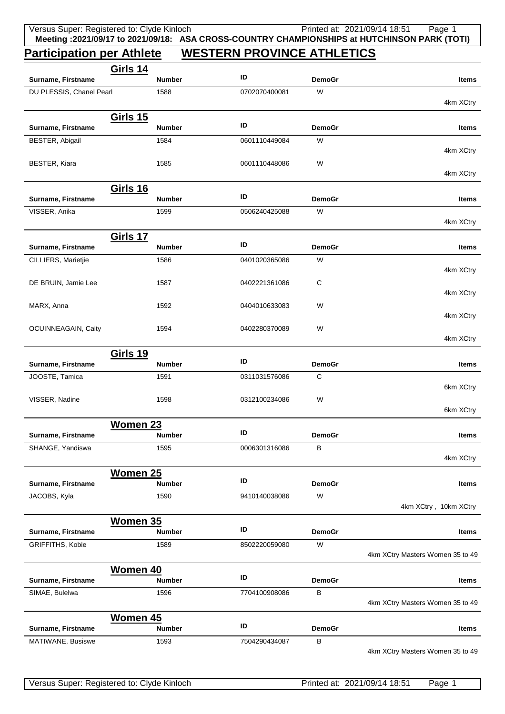## **Participation per Athlete WESTERN PROVINCE ATHLETICS**

|                          | <b>Girls 14</b> |               | ID            |               |                                  |
|--------------------------|-----------------|---------------|---------------|---------------|----------------------------------|
| Surname, Firstname       |                 | <b>Number</b> |               | <b>DemoGr</b> | Items                            |
| DU PLESSIS, Chanel Pearl |                 | 1588          | 0702070400081 | W             | 4km XCtry                        |
|                          |                 |               |               |               |                                  |
| Surname, Firstname       | <b>Girls 15</b> | <b>Number</b> | ID            | <b>DemoGr</b> | Items                            |
| BESTER, Abigail          |                 | 1584          | 0601110449084 | W             |                                  |
|                          |                 |               |               |               | 4km XCtry                        |
| BESTER, Kiara            |                 | 1585          | 0601110448086 | W             |                                  |
|                          |                 |               |               |               | 4km XCtry                        |
|                          | <b>Girls 16</b> |               |               |               |                                  |
| Surname, Firstname       |                 | <b>Number</b> | ID            | <b>DemoGr</b> | <b>Items</b>                     |
| VISSER, Anika            |                 | 1599          | 0506240425088 | W             |                                  |
|                          |                 |               |               |               | 4km XCtry                        |
|                          | <b>Girls 17</b> |               |               |               |                                  |
| Surname, Firstname       |                 | <b>Number</b> | ID            | <b>DemoGr</b> | Items                            |
| CILLIERS, Marietjie      |                 | 1586          | 0401020365086 | W             |                                  |
|                          |                 |               |               |               | 4km XCtry                        |
| DE BRUIN, Jamie Lee      |                 | 1587          | 0402221361086 | C             | 4km XCtry                        |
| MARX, Anna               |                 | 1592          | 0404010633083 | W             |                                  |
|                          |                 |               |               |               | 4km XCtry                        |
| OCUINNEAGAIN, Caity      |                 | 1594          | 0402280370089 | W             |                                  |
|                          |                 |               |               |               | 4km XCtry                        |
|                          | <b>Girls 19</b> |               |               |               |                                  |
| Surname, Firstname       |                 | <b>Number</b> | ID            | <b>DemoGr</b> | Items                            |
| JOOSTE, Tamica           |                 | 1591          | 0311031576086 | C             |                                  |
|                          |                 |               |               |               | 6km XCtry                        |
| VISSER, Nadine           |                 | 1598          | 0312100234086 | W             |                                  |
|                          |                 |               |               |               | 6km XCtry                        |
|                          | <b>Women 23</b> |               | ID            |               |                                  |
| Surname, Firstname       |                 | <b>Number</b> |               | <b>DemoGr</b> | Items                            |
| SHANGE, Yandiswa         |                 | 1595          | 0006301316086 | В             | 4km XCtry                        |
|                          |                 |               |               |               |                                  |
|                          | Women 25        | <b>Number</b> | ID            | <b>DemoGr</b> | Items                            |
| Surname, Firstname       |                 | 1590          | 9410140038086 | W             |                                  |
| JACOBS, Kyla             |                 |               |               |               | 4km XCtry, 10km XCtry            |
|                          |                 |               |               |               |                                  |
| Surname, Firstname       | Women 35        | <b>Number</b> | ID            | <b>DemoGr</b> | Items                            |
| <b>GRIFFITHS, Kobie</b>  |                 | 1589          | 8502220059080 | W             |                                  |
|                          |                 |               |               |               | 4km XCtry Masters Women 35 to 49 |
|                          | Women 40        |               |               |               |                                  |
| Surname, Firstname       |                 | <b>Number</b> | ID            | <b>DemoGr</b> | Items                            |
| SIMAE, Bulelwa           |                 | 1596          | 7704100908086 | В             |                                  |
|                          |                 |               |               |               | 4km XCtry Masters Women 35 to 49 |
|                          | <b>Women 45</b> |               |               |               |                                  |
| Surname, Firstname       |                 | <b>Number</b> | ID            | <b>DemoGr</b> | Items                            |
| MATIWANE, Busiswe        |                 | 1593          | 7504290434087 | B             |                                  |
|                          |                 |               |               |               | 4km XCtry Masters Women 35 to 49 |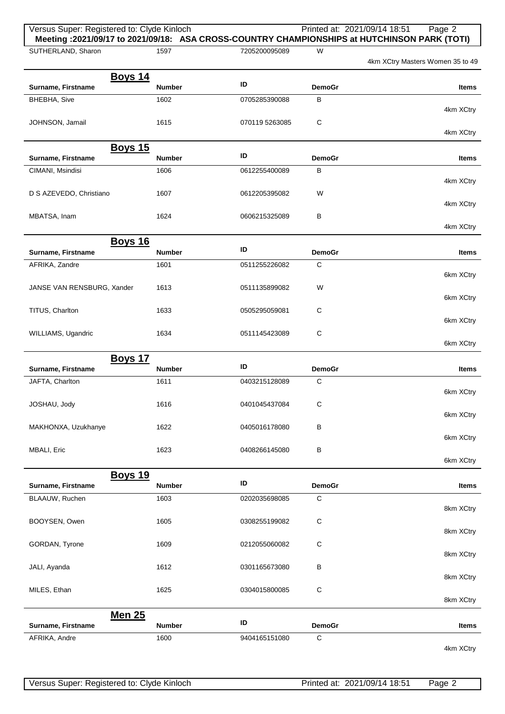| Versus Super: Registered to: Clyde Kinloch |                       |                |                    | Printed at: 2021/09/14 18:51<br>Page 2<br>Meeting : 2021/09/17 to 2021/09/18: ASA CROSS-COUNTRY CHAMPIONSHIPS at HUTCHINSON PARK (TOTI) |
|--------------------------------------------|-----------------------|----------------|--------------------|-----------------------------------------------------------------------------------------------------------------------------------------|
| SUTHERLAND, Sharon                         | 1597                  | 7205200095089  | W                  | 4km XCtry Masters Women 35 to 49                                                                                                        |
| <b>Boys 14</b>                             |                       |                |                    |                                                                                                                                         |
| Surname, Firstname                         | <b>Number</b>         | ID             | <b>DemoGr</b>      | <b>Items</b>                                                                                                                            |
| BHEBHA, Sive                               | 1602                  | 0705285390088  | В                  | 4km XCtry                                                                                                                               |
| JOHNSON, Jamail                            | 1615                  | 070119 5263085 | C                  |                                                                                                                                         |
|                                            |                       |                |                    | 4km XCtry                                                                                                                               |
| <b>Boys 15</b>                             |                       | ID             |                    |                                                                                                                                         |
| Surname, Firstname<br>CIMANI, Msindisi     | <b>Number</b><br>1606 | 0612255400089  | <b>DemoGr</b><br>В | <b>Items</b>                                                                                                                            |
|                                            |                       |                |                    | 4km XCtry                                                                                                                               |
| D S AZEVEDO, Christiano                    | 1607                  | 0612205395082  | W                  |                                                                                                                                         |
| MBATSA, Inam                               | 1624                  | 0606215325089  | В                  | 4km XCtry                                                                                                                               |
|                                            |                       |                |                    | 4km XCtry                                                                                                                               |
| <b>Boys 16</b>                             |                       |                |                    |                                                                                                                                         |
| Surname, Firstname                         | <b>Number</b>         | ID             | <b>DemoGr</b>      | <b>Items</b>                                                                                                                            |
| AFRIKA, Zandre                             | 1601                  | 0511255226082  | $\mathbf C$        | 6km XCtry                                                                                                                               |
| JANSE VAN RENSBURG, Xander                 | 1613                  | 0511135899082  | W                  |                                                                                                                                         |
|                                            |                       |                |                    | 6km XCtry                                                                                                                               |
| TITUS, Charlton                            | 1633                  | 0505295059081  | C                  | 6km XCtry                                                                                                                               |
| WILLIAMS, Ugandric                         | 1634                  | 0511145423089  | C                  |                                                                                                                                         |
|                                            |                       |                |                    | 6km XCtry                                                                                                                               |
| <b>Boys 17</b><br>Surname, Firstname       | <b>Number</b>         | ID             | <b>DemoGr</b>      | <b>Items</b>                                                                                                                            |
| JAFTA, Charlton                            | 1611                  | 0403215128089  | C                  |                                                                                                                                         |
|                                            |                       |                |                    | 6km XCtry                                                                                                                               |
| JOSHAU, Jody                               | 1616                  | 0401045437084  | С                  | 6km XCtry                                                                                                                               |
| MAKHONXA, Uzukhanye                        | 1622                  | 0405016178080  | $\sf B$            |                                                                                                                                         |
|                                            |                       |                |                    | 6km XCtry                                                                                                                               |
| MBALI, Eric                                | 1623                  | 0408266145080  | $\sf B$            | 6km XCtry                                                                                                                               |
| <b>Boys 19</b>                             |                       |                |                    |                                                                                                                                         |
| Surname, Firstname                         | <b>Number</b>         | ID             | <b>DemoGr</b>      | <b>Items</b>                                                                                                                            |
| BLAAUW, Ruchen                             | 1603                  | 0202035698085  | $\mathbf C$        |                                                                                                                                         |
| BOOYSEN, Owen                              | 1605                  | 0308255199082  | $\mathsf C$        | 8km XCtry                                                                                                                               |
|                                            |                       |                |                    | 8km XCtry                                                                                                                               |
| GORDAN, Tyrone                             | 1609                  | 0212055060082  | C                  |                                                                                                                                         |
| JALI, Ayanda                               | 1612                  | 0301165673080  | В                  | 8km XCtry                                                                                                                               |
|                                            |                       |                |                    | 8km XCtry                                                                                                                               |
| MILES, Ethan                               | 1625                  | 0304015800085  | $\mathsf C$        |                                                                                                                                         |
|                                            |                       |                |                    | 8km XCtry                                                                                                                               |
| <b>Men 25</b><br>Surname, Firstname        | <b>Number</b>         | ID             | <b>DemoGr</b>      | Items                                                                                                                                   |
| AFRIKA, Andre                              | 1600                  | 9404165151080  | $\mathsf C$        |                                                                                                                                         |
|                                            |                       |                |                    | 4km XCtry                                                                                                                               |